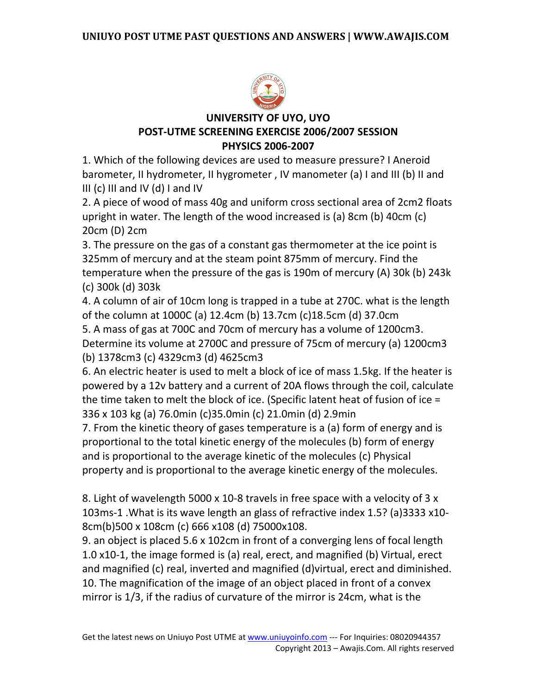

# **UNIVERSITY OF UYO, UYO POST-UTME SCREENING EXERCISE 2006/2007 SESSION PHYSICS 2006-2007**

1. Which of the following devices are used to measure pressure? I Aneroid barometer, II hydrometer, II hygrometer , IV manometer (a) I and III (b) II and III (c) III and IV (d) I and IV

2. A piece of wood of mass 40g and uniform cross sectional area of 2cm2 floats upright in water. The length of the wood increased is (a) 8cm (b) 40cm (c) 20cm (D) 2cm

3. The pressure on the gas of a constant gas thermometer at the ice point is 325mm of mercury and at the steam point 875mm of mercury. Find the temperature when the pressure of the gas is 190m of mercury (A) 30k (b) 243k (c) 300k (d) 303k

4. A column of air of 10cm long is trapped in a tube at 270C. what is the length of the column at 1000C (a) 12.4cm (b) 13.7cm (c)18.5cm (d) 37.0cm

5. A mass of gas at 700C and 70cm of mercury has a volume of 1200cm3. Determine its volume at 2700C and pressure of 75cm of mercury (a) 1200cm3 (b) 1378cm3 (c) 4329cm3 (d) 4625cm3

6. An electric heater is used to melt a block of ice of mass 1.5kg. If the heater is powered by a 12v battery and a current of 20A flows through the coil, calculate the time taken to melt the block of ice. (Specific latent heat of fusion of ice = 336 x 103 kg (a) 76.0min (c)35.0min (c) 21.0min (d) 2.9min

7. From the kinetic theory of gases temperature is a (a) form of energy and is proportional to the total kinetic energy of the molecules (b) form of energy and is proportional to the average kinetic of the molecules (c) Physical property and is proportional to the average kinetic energy of the molecules.

8. Light of wavelength 5000 x 10-8 travels in free space with a velocity of 3 x 103ms-1 .What is its wave length an glass of refractive index 1.5? (a)3333 x10- 8cm(b)500 x 108cm (c) 666 x108 (d) 75000x108.

9. an object is placed 5.6 x 102cm in front of a converging lens of focal length 1.0 x10-1, the image formed is (a) real, erect, and magnified (b) Virtual, erect and magnified (c) real, inverted and magnified (d)virtual, erect and diminished. 10. The magnification of the image of an object placed in front of a convex mirror is 1/3, if the radius of curvature of the mirror is 24cm, what is the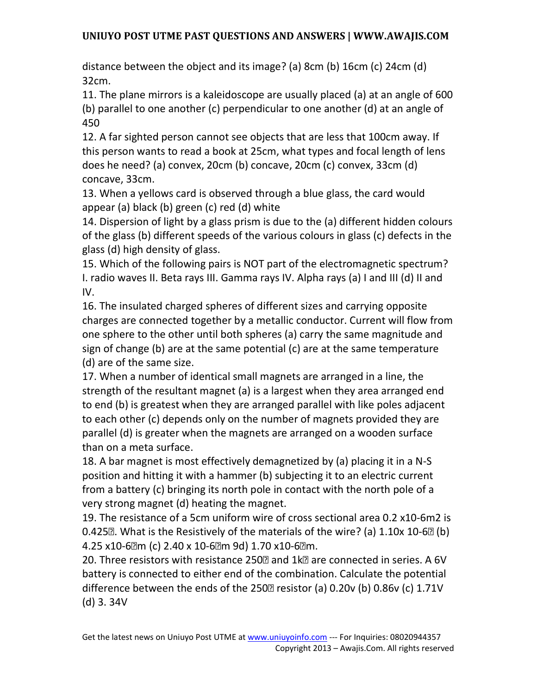distance between the object and its image? (a) 8cm (b) 16cm (c) 24cm (d) 32cm.

11. The plane mirrors is a kaleidoscope are usually placed (a) at an angle of 600 (b) parallel to one another (c) perpendicular to one another (d) at an angle of 450

12. A far sighted person cannot see objects that are less that 100cm away. If this person wants to read a book at 25cm, what types and focal length of lens does he need? (a) convex, 20cm (b) concave, 20cm (c) convex, 33cm (d) concave, 33cm.

13. When a yellows card is observed through a blue glass, the card would appear (a) black (b) green (c) red (d) white

14. Dispersion of light by a glass prism is due to the (a) different hidden colours of the glass (b) different speeds of the various colours in glass (c) defects in the glass (d) high density of glass.

15. Which of the following pairs is NOT part of the electromagnetic spectrum? I. radio waves II. Beta rays III. Gamma rays IV. Alpha rays (a) I and III (d) II and IV.

16. The insulated charged spheres of different sizes and carrying opposite charges are connected together by a metallic conductor. Current will flow from one sphere to the other until both spheres (a) carry the same magnitude and sign of change (b) are at the same potential (c) are at the same temperature (d) are of the same size.

17. When a number of identical small magnets are arranged in a line, the strength of the resultant magnet (a) is a largest when they area arranged end to end (b) is greatest when they are arranged parallel with like poles adjacent to each other (c) depends only on the number of magnets provided they are parallel (d) is greater when the magnets are arranged on a wooden surface than on a meta surface.

18. A bar magnet is most effectively demagnetized by (a) placing it in a N-S position and hitting it with a hammer (b) subjecting it to an electric current from a battery (c) bringing its north pole in contact with the north pole of a very strong magnet (d) heating the magnet.

19. The resistance of a 5cm uniform wire of cross sectional area 0.2 x10-6m2 is 0.425 $\mathbb{Z}$ . What is the Resistively of the materials of the wire? (a) 1.10x 10-6 $\mathbb{Z}$  (b) 4.25 x10-6m (c) 2.40 x 10-6m 9d) 1.70 x10-6m.

20. Three resistors with resistance 250<sup>®</sup> and 1k<sup>®</sup> are connected in series. A 6V battery is connected to either end of the combination. Calculate the potential difference between the ends of the 250 $\overline{a}$  resistor (a) 0.20v (b) 0.86v (c) 1.71V (d) 3. 34V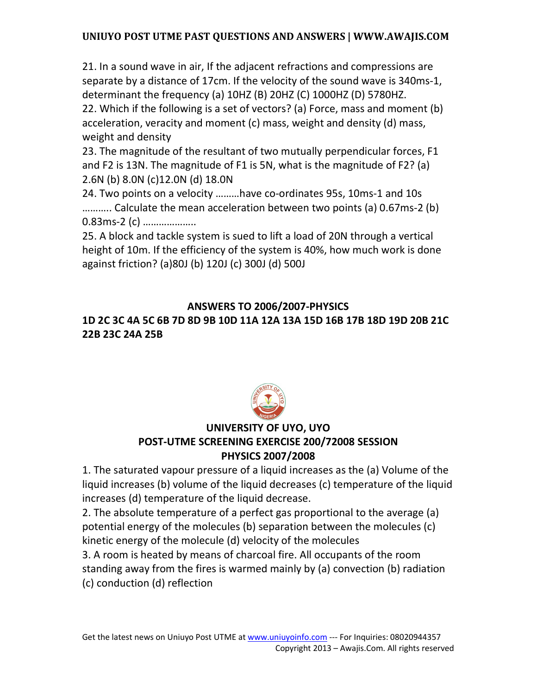21. In a sound wave in air, If the adjacent refractions and compressions are separate by a distance of 17cm. If the velocity of the sound wave is 340ms-1, determinant the frequency (a) 10HZ (B) 20HZ (C) 1000HZ (D) 5780HZ. 22. Which if the following is a set of vectors? (a) Force, mass and moment (b)

acceleration, veracity and moment (c) mass, weight and density (d) mass, weight and density

23. The magnitude of the resultant of two mutually perpendicular forces, F1 and F2 is 13N. The magnitude of F1 is 5N, what is the magnitude of F2? (a) 2.6N (b) 8.0N (c)12.0N (d) 18.0N

24. Two points on a velocity ………have co-ordinates 95s, 10ms-1 and 10s ……….. Calculate the mean acceleration between two points (a) 0.67ms-2 (b) 0.83ms-2 (c) ………………..

25. A block and tackle system is sued to lift a load of 20N through a vertical height of 10m. If the efficiency of the system is 40%, how much work is done against friction? (a)80J (b) 120J (c) 300J (d) 500J

### **ANSWERS TO 2006/2007-PHYSICS**

# **1D 2C 3C 4A 5C 6B 7D 8D 9B 10D 11A 12A 13A 15D 16B 17B 18D 19D 20B 21C 22B 23C 24A 25B**



# **UNIVERSITY OF UYO, UYO POST-UTME SCREENING EXERCISE 200/72008 SESSION PHYSICS 2007/2008**

1. The saturated vapour pressure of a liquid increases as the (a) Volume of the liquid increases (b) volume of the liquid decreases (c) temperature of the liquid increases (d) temperature of the liquid decrease.

2. The absolute temperature of a perfect gas proportional to the average (a) potential energy of the molecules (b) separation between the molecules (c) kinetic energy of the molecule (d) velocity of the molecules

3. A room is heated by means of charcoal fire. All occupants of the room standing away from the fires is warmed mainly by (a) convection (b) radiation (c) conduction (d) reflection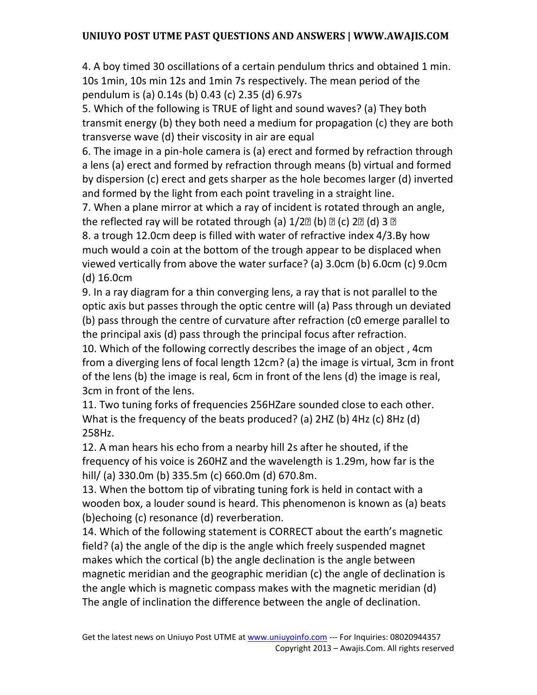4. A boy timed 30 oscillations of a certain pendulum thrics and obtained 1 min. 10s 1min, 10s min 12s and 1min 7s respectively. The mean period of the pendulum is (a) 0.14s (b) 0.43 (c) 2.35 (d) 6.97s

5. Which of the following is TRUE of light and sound waves? (a) They both transmit energy (b) they both need a medium for propagation (c) they are both transverse wave (d) their viscosity in air are equal

6. The image in a pin-hole camera is (a) erect and formed by refraction through a lens (a) erect and formed by refraction through means (b) virtual and formed by dispersion (c) erect and gets sharper as the hole becomes larger (d) inverted and formed by the light from each point traveling in a straight line.

7. When a plane mirror at which a ray of incident is rotated through an angle, the reflected ray will be rotated through (a)  $1/2$  [b]  $\infty$  (c)  $2$  [d]  $3$   $\infty$ 

8. a trough 12.0cm deep is filled with water of refractive index 4/3.By how much would a coin at the bottom of the trough appear to be displaced when viewed vertically from above the water surface? (a) 3.0cm (b) 6.0cm (c) 9.0cm (d) 16.0cm

9. In a ray diagram for a thin converging lens, a ray that is not parallel to the optic axis but passes through the optic centre will (a) Pass through un deviated (b) pass through the centre of curvature after refraction (c0 emerge parallel to the principal axis (d) pass through the principal focus after refraction.

10. Which of the following correctly describes the image of an object , 4cm from a diverging lens of focal length 12cm? (a) the image is virtual, 3cm in front of the lens (b) the image is real, 6cm in front of the lens (d) the image is real, 3cm in front of the lens.

11. Two tuning forks of frequencies 256HZare sounded close to each other. What is the frequency of the beats produced? (a) 2HZ (b) 4Hz (c) 8Hz (d) 258Hz.

12. A man hears his echo from a nearby hill 2s after he shouted, if the frequency of his voice is 260HZ and the wavelength is 1.29m, how far is the hill/ (a) 330.0m (b) 335.5m (c) 660.0m (d) 670.8m.

13. When the bottom tip of vibrating tuning fork is held in contact with a wooden box, a louder sound is heard. This phenomenon is known as (a) beats (b)echoing (c) resonance (d) reverberation.

14. Which of the following statement is CORRECT about the earth's magnetic field? (a) the angle of the dip is the angle which freely suspended magnet makes which the cortical (b) the angle declination is the angle between magnetic meridian and the geographic meridian (c) the angle of declination is the angle which is magnetic compass makes with the magnetic meridian (d) The angle of inclination the difference between the angle of declination.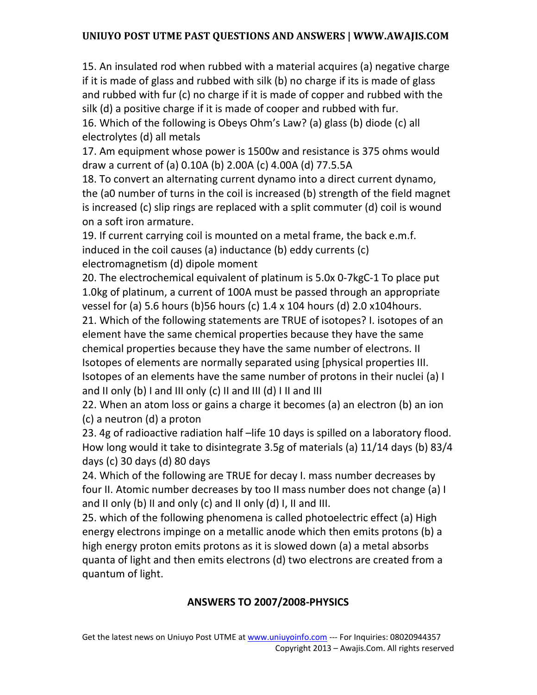15. An insulated rod when rubbed with a material acquires (a) negative charge if it is made of glass and rubbed with silk (b) no charge if its is made of glass and rubbed with fur (c) no charge if it is made of copper and rubbed with the silk (d) a positive charge if it is made of cooper and rubbed with fur.

16. Which of the following is Obeys Ohm's Law? (a) glass (b) diode (c) all electrolytes (d) all metals

17. Am equipment whose power is 1500w and resistance is 375 ohms would draw a current of (a) 0.10A (b) 2.00A (c) 4.00A (d) 77.5.5A

18. To convert an alternating current dynamo into a direct current dynamo, the (a0 number of turns in the coil is increased (b) strength of the field magnet is increased (c) slip rings are replaced with a split commuter (d) coil is wound on a soft iron armature.

19. If current carrying coil is mounted on a metal frame, the back e.m.f. induced in the coil causes (a) inductance (b) eddy currents (c) electromagnetism (d) dipole moment

20. The electrochemical equivalent of platinum is 5.0x 0-7kgC-1 To place put 1.0kg of platinum, a current of 100A must be passed through an appropriate vessel for (a) 5.6 hours (b)56 hours (c) 1.4 x 104 hours (d) 2.0 x104hours.

21. Which of the following statements are TRUE of isotopes? I. isotopes of an element have the same chemical properties because they have the same chemical properties because they have the same number of electrons. II Isotopes of elements are normally separated using [physical properties III. Isotopes of an elements have the same number of protons in their nuclei (a) I and II only (b) I and III only (c) II and III (d) I II and III

22. When an atom loss or gains a charge it becomes (a) an electron (b) an ion (c) a neutron (d) a proton

23. 4g of radioactive radiation half –life 10 days is spilled on a laboratory flood. How long would it take to disintegrate 3.5g of materials (a) 11/14 days (b) 83/4 days (c) 30 days (d) 80 days

24. Which of the following are TRUE for decay I. mass number decreases by four II. Atomic number decreases by too II mass number does not change (a) I and II only (b) II and only (c) and II only (d) I, II and III.

25. which of the following phenomena is called photoelectric effect (a) High energy electrons impinge on a metallic anode which then emits protons (b) a high energy proton emits protons as it is slowed down (a) a metal absorbs quanta of light and then emits electrons (d) two electrons are created from a quantum of light.

# **ANSWERS TO 2007/2008-PHYSICS**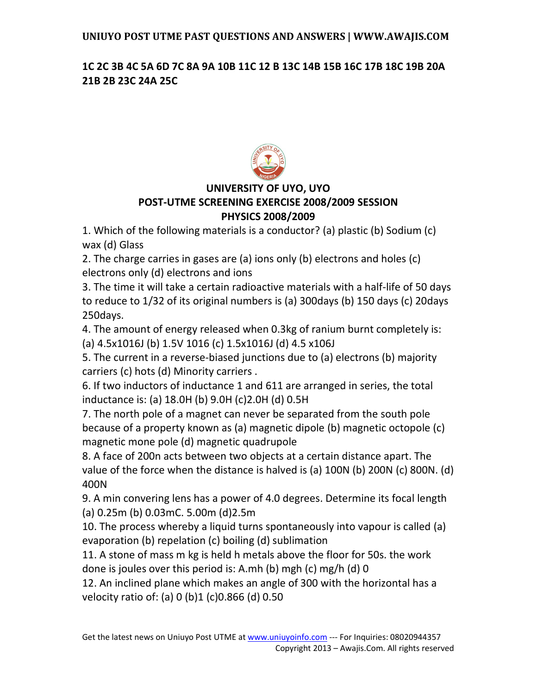### **1C 2C 3B 4C 5A 6D 7C 8A 9A 10B 11C 12 B 13C 14B 15B 16C 17B 18C 19B 20A 21B 2B 23C 24A 25C**



# **UNIVERSITY OF UYO, UYO POST-UTME SCREENING EXERCISE 2008/2009 SESSION PHYSICS 2008/2009**

1. Which of the following materials is a conductor? (a) plastic (b) Sodium (c) wax (d) Glass

2. The charge carries in gases are (a) ions only (b) electrons and holes (c) electrons only (d) electrons and ions

3. The time it will take a certain radioactive materials with a half-life of 50 days to reduce to 1/32 of its original numbers is (a) 300days (b) 150 days (c) 20days 250days.

4. The amount of energy released when 0.3kg of ranium burnt completely is: (a) 4.5x1016J (b) 1.5V 1016 (c) 1.5x1016J (d) 4.5 x106J

5. The current in a reverse-biased junctions due to (a) electrons (b) majority carriers (c) hots (d) Minority carriers .

6. If two inductors of inductance 1 and 611 are arranged in series, the total inductance is: (a) 18.0H (b) 9.0H (c)2.0H (d) 0.5H

7. The north pole of a magnet can never be separated from the south pole because of a property known as (a) magnetic dipole (b) magnetic octopole (c) magnetic mone pole (d) magnetic quadrupole

8. A face of 200n acts between two objects at a certain distance apart. The value of the force when the distance is halved is (a) 100N (b) 200N (c) 800N. (d) 400N

9. A min convering lens has a power of 4.0 degrees. Determine its focal length (a) 0.25m (b) 0.03mC. 5.00m (d)2.5m

10. The process whereby a liquid turns spontaneously into vapour is called (a) evaporation (b) repelation (c) boiling (d) sublimation

11. A stone of mass m kg is held h metals above the floor for 50s. the work done is joules over this period is: A.mh (b) mgh (c) mg/h (d) 0

12. An inclined plane which makes an angle of 300 with the horizontal has a velocity ratio of: (a) 0 (b)1 (c)0.866 (d) 0.50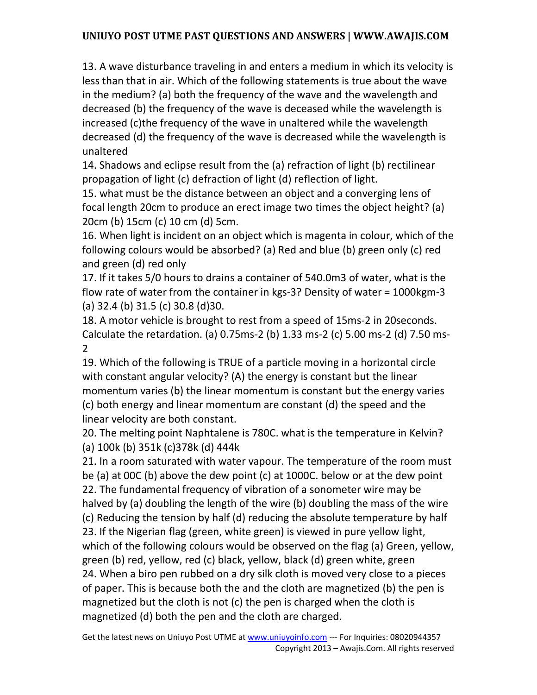13. A wave disturbance traveling in and enters a medium in which its velocity is less than that in air. Which of the following statements is true about the wave in the medium? (a) both the frequency of the wave and the wavelength and decreased (b) the frequency of the wave is deceased while the wavelength is increased (c)the frequency of the wave in unaltered while the wavelength decreased (d) the frequency of the wave is decreased while the wavelength is unaltered

14. Shadows and eclipse result from the (a) refraction of light (b) rectilinear propagation of light (c) defraction of light (d) reflection of light.

15. what must be the distance between an object and a converging lens of focal length 20cm to produce an erect image two times the object height? (a) 20cm (b) 15cm (c) 10 cm (d) 5cm.

16. When light is incident on an object which is magenta in colour, which of the following colours would be absorbed? (a) Red and blue (b) green only (c) red and green (d) red only

17. If it takes 5/0 hours to drains a container of 540.0m3 of water, what is the flow rate of water from the container in kgs-3? Density of water = 1000kgm-3 (a) 32.4 (b) 31.5 (c) 30.8 (d)30.

18. A motor vehicle is brought to rest from a speed of 15ms-2 in 20seconds. Calculate the retardation. (a) 0.75ms-2 (b) 1.33 ms-2 (c) 5.00 ms-2 (d) 7.50 ms-2

19. Which of the following is TRUE of a particle moving in a horizontal circle with constant angular velocity? (A) the energy is constant but the linear momentum varies (b) the linear momentum is constant but the energy varies (c) both energy and linear momentum are constant (d) the speed and the linear velocity are both constant.

20. The melting point Naphtalene is 780C. what is the temperature in Kelvin? (a) 100k (b) 351k (c)378k (d) 444k

21. In a room saturated with water vapour. The temperature of the room must be (a) at 00C (b) above the dew point (c) at 1000C. below or at the dew point 22. The fundamental frequency of vibration of a sonometer wire may be halved by (a) doubling the length of the wire (b) doubling the mass of the wire (c) Reducing the tension by half (d) reducing the absolute temperature by half 23. If the Nigerian flag (green, white green) is viewed in pure yellow light, which of the following colours would be observed on the flag (a) Green, yellow, green (b) red, yellow, red (c) black, yellow, black (d) green white, green 24. When a biro pen rubbed on a dry silk cloth is moved very close to a pieces of paper. This is because both the and the cloth are magnetized (b) the pen is magnetized but the cloth is not (c) the pen is charged when the cloth is magnetized (d) both the pen and the cloth are charged.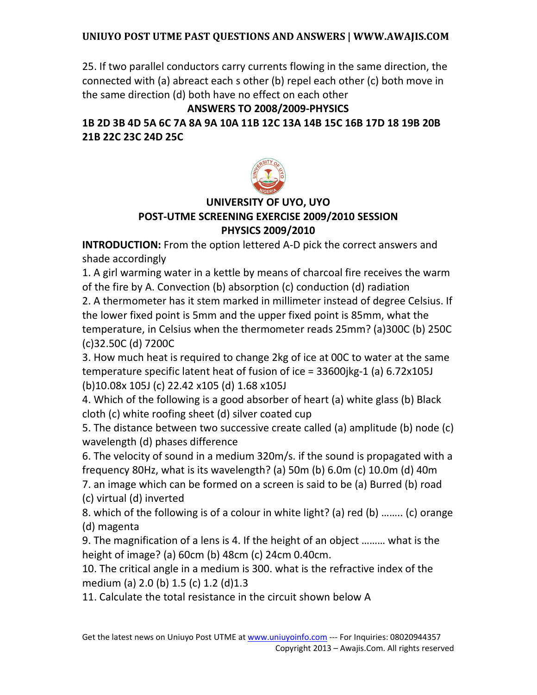25. If two parallel conductors carry currents flowing in the same direction, the connected with (a) abreact each s other (b) repel each other (c) both move in the same direction (d) both have no effect on each other

**ANSWERS TO 2008/2009-PHYSICS**

**1B 2D 3B 4D 5A 6C 7A 8A 9A 10A 11B 12C 13A 14B 15C 16B 17D 18 19B 20B 21B 22C 23C 24D 25C** 



# **UNIVERSITY OF UYO, UYO POST-UTME SCREENING EXERCISE 2009/2010 SESSION PHYSICS 2009/2010**

**INTRODUCTION:** From the option lettered A-D pick the correct answers and shade accordingly

1. A girl warming water in a kettle by means of charcoal fire receives the warm of the fire by A. Convection (b) absorption (c) conduction (d) radiation

2. A thermometer has it stem marked in millimeter instead of degree Celsius. If the lower fixed point is 5mm and the upper fixed point is 85mm, what the temperature, in Celsius when the thermometer reads 25mm? (a)300C (b) 250C (c)32.50C (d) 7200C

3. How much heat is required to change 2kg of ice at 00C to water at the same temperature specific latent heat of fusion of ice = 33600jkg-1 (a) 6.72x105J (b)10.08x 105J (c) 22.42 x105 (d) 1.68 x105J

4. Which of the following is a good absorber of heart (a) white glass (b) Black cloth (c) white roofing sheet (d) silver coated cup

5. The distance between two successive create called (a) amplitude (b) node (c) wavelength (d) phases difference

6. The velocity of sound in a medium 320m/s. if the sound is propagated with a frequency 80Hz, what is its wavelength? (a) 50m (b) 6.0m (c) 10.0m (d) 40m

7. an image which can be formed on a screen is said to be (a) Burred (b) road (c) virtual (d) inverted

8. which of the following is of a colour in white light? (a) red (b) …….. (c) orange (d) magenta

9. The magnification of a lens is 4. If the height of an object ……… what is the height of image? (a) 60cm (b) 48cm (c) 24cm 0.40cm.

10. The critical angle in a medium is 300. what is the refractive index of the medium (a) 2.0 (b) 1.5 (c) 1.2 (d)1.3

11. Calculate the total resistance in the circuit shown below A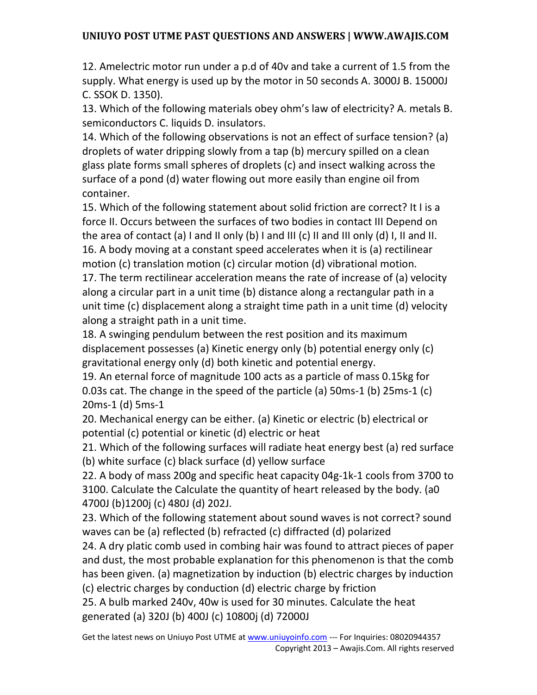12. Amelectric motor run under a p.d of 40v and take a current of 1.5 from the supply. What energy is used up by the motor in 50 seconds A. 3000J B. 15000J C. SSOK D. 1350).

13. Which of the following materials obey ohm's law of electricity? A. metals B. semiconductors C. liquids D. insulators.

14. Which of the following observations is not an effect of surface tension? (a) droplets of water dripping slowly from a tap (b) mercury spilled on a clean glass plate forms small spheres of droplets (c) and insect walking across the surface of a pond (d) water flowing out more easily than engine oil from container.

15. Which of the following statement about solid friction are correct? It I is a force II. Occurs between the surfaces of two bodies in contact III Depend on the area of contact (a) I and II only (b) I and III (c) II and III only (d) I, II and II. 16. A body moving at a constant speed accelerates when it is (a) rectilinear motion (c) translation motion (c) circular motion (d) vibrational motion. 17. The term rectilinear acceleration means the rate of increase of (a) velocity along a circular part in a unit time (b) distance along a rectangular path in a unit time (c) displacement along a straight time path in a unit time (d) velocity along a straight path in a unit time.

18. A swinging pendulum between the rest position and its maximum displacement possesses (a) Kinetic energy only (b) potential energy only (c) gravitational energy only (d) both kinetic and potential energy.

19. An eternal force of magnitude 100 acts as a particle of mass 0.15kg for 0.03s cat. The change in the speed of the particle (a) 50ms-1 (b) 25ms-1 (c) 20ms-1 (d) 5ms-1

20. Mechanical energy can be either. (a) Kinetic or electric (b) electrical or potential (c) potential or kinetic (d) electric or heat

21. Which of the following surfaces will radiate heat energy best (a) red surface (b) white surface (c) black surface (d) yellow surface

22. A body of mass 200g and specific heat capacity 04g-1k-1 cools from 3700 to 3100. Calculate the Calculate the quantity of heart released by the body. (a0 4700J (b)1200j (c) 480J (d) 202J.

23. Which of the following statement about sound waves is not correct? sound waves can be (a) reflected (b) refracted (c) diffracted (d) polarized

24. A dry platic comb used in combing hair was found to attract pieces of paper and dust, the most probable explanation for this phenomenon is that the comb has been given. (a) magnetization by induction (b) electric charges by induction (c) electric charges by conduction (d) electric charge by friction

25. A bulb marked 240v, 40w is used for 30 minutes. Calculate the heat generated (a) 320J (b) 400J (c) 10800j (d) 72000J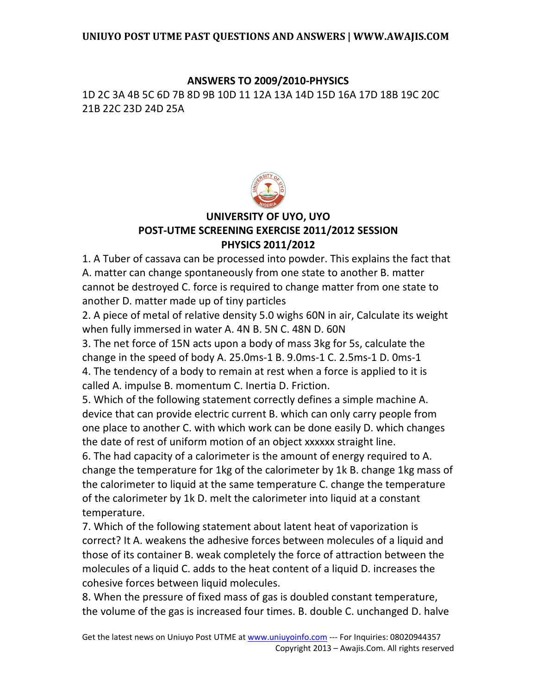#### **ANSWERS TO 2009/2010-PHYSICS**

1D 2C 3A 4B 5C 6D 7B 8D 9B 10D 11 12A 13A 14D 15D 16A 17D 18B 19C 20C 21B 22C 23D 24D 25A



### **UNIVERSITY OF UYO, UYO POST-UTME SCREENING EXERCISE 2011/2012 SESSION PHYSICS 2011/2012**

1. A Tuber of cassava can be processed into powder. This explains the fact that A. matter can change spontaneously from one state to another B. matter cannot be destroyed C. force is required to change matter from one state to another D. matter made up of tiny particles

2. A piece of metal of relative density 5.0 wighs 60N in air, Calculate its weight when fully immersed in water A. 4N B. 5N C. 48N D. 60N

3. The net force of 15N acts upon a body of mass 3kg for 5s, calculate the change in the speed of body A. 25.0ms-1 B. 9.0ms-1 C. 2.5ms-1 D. 0ms-1 4. The tendency of a body to remain at rest when a force is applied to it is called A. impulse B. momentum C. Inertia D. Friction.

5. Which of the following statement correctly defines a simple machine A. device that can provide electric current B. which can only carry people from one place to another C. with which work can be done easily D. which changes the date of rest of uniform motion of an object xxxxxx straight line.

6. The had capacity of a calorimeter is the amount of energy required to A. change the temperature for 1kg of the calorimeter by 1k B. change 1kg mass of the calorimeter to liquid at the same temperature C. change the temperature of the calorimeter by 1k D. melt the calorimeter into liquid at a constant temperature.

7. Which of the following statement about latent heat of vaporization is correct? It A. weakens the adhesive forces between molecules of a liquid and those of its container B. weak completely the force of attraction between the molecules of a liquid C. adds to the heat content of a liquid D. increases the cohesive forces between liquid molecules.

8. When the pressure of fixed mass of gas is doubled constant temperature, the volume of the gas is increased four times. B. double C. unchanged D. halve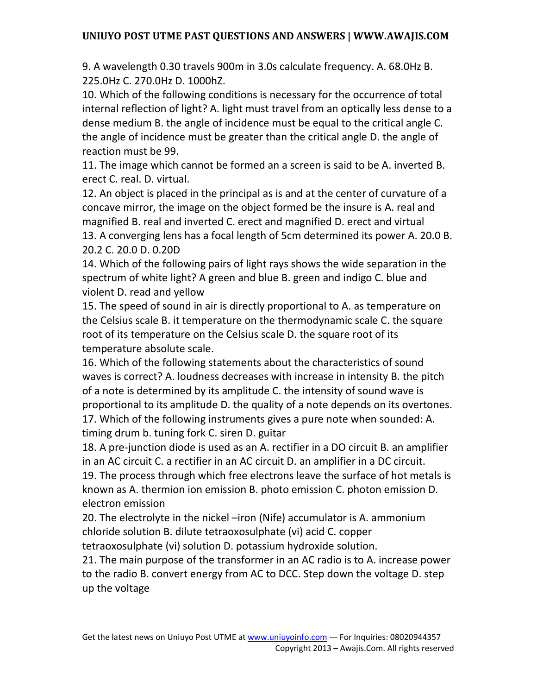9. A wavelength 0.30 travels 900m in 3.0s calculate frequency. A. 68.0Hz B. 225.0Hz C. 270.0Hz D. 1000hZ.

10. Which of the following conditions is necessary for the occurrence of total internal reflection of light? A. light must travel from an optically less dense to a dense medium B. the angle of incidence must be equal to the critical angle C. the angle of incidence must be greater than the critical angle D. the angle of reaction must be 99.

11. The image which cannot be formed an a screen is said to be A. inverted B. erect C. real. D. virtual.

12. An object is placed in the principal as is and at the center of curvature of a concave mirror, the image on the object formed be the insure is A. real and magnified B. real and inverted C. erect and magnified D. erect and virtual 13. A converging lens has a focal length of 5cm determined its power A. 20.0 B. 20.2 C. 20.0 D. 0.20D

14. Which of the following pairs of light rays shows the wide separation in the spectrum of white light? A green and blue B. green and indigo C. blue and violent D. read and yellow

15. The speed of sound in air is directly proportional to A. as temperature on the Celsius scale B. it temperature on the thermodynamic scale C. the square root of its temperature on the Celsius scale D. the square root of its temperature absolute scale.

16. Which of the following statements about the characteristics of sound waves is correct? A. loudness decreases with increase in intensity B. the pitch of a note is determined by its amplitude C. the intensity of sound wave is proportional to its amplitude D. the quality of a note depends on its overtones. 17. Which of the following instruments gives a pure note when sounded: A. timing drum b. tuning fork C. siren D. guitar

18. A pre-junction diode is used as an A. rectifier in a DO circuit B. an amplifier in an AC circuit C. a rectifier in an AC circuit D. an amplifier in a DC circuit. 19. The process through which free electrons leave the surface of hot metals is known as A. thermion ion emission B. photo emission C. photon emission D. electron emission

20. The electrolyte in the nickel –iron (Nife) accumulator is A. ammonium chloride solution B. dilute tetraoxosulphate (vi) acid C. copper

tetraoxosulphate (vi) solution D. potassium hydroxide solution.

21. The main purpose of the transformer in an AC radio is to A. increase power to the radio B. convert energy from AC to DCC. Step down the voltage D. step up the voltage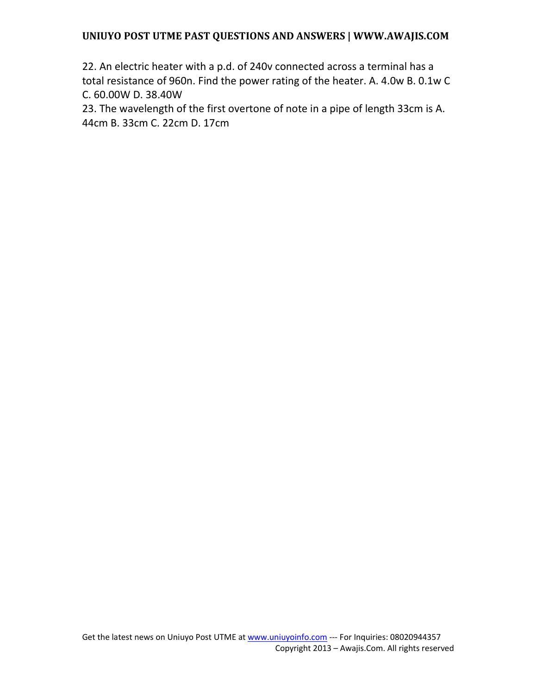22. An electric heater with a p.d. of 240v connected across a terminal has a total resistance of 960n. Find the power rating of the heater. A. 4.0w B. 0.1w C C. 60.00W D. 38.40W

23. The wavelength of the first overtone of note in a pipe of length 33cm is A. 44cm B. 33cm C. 22cm D. 17cm